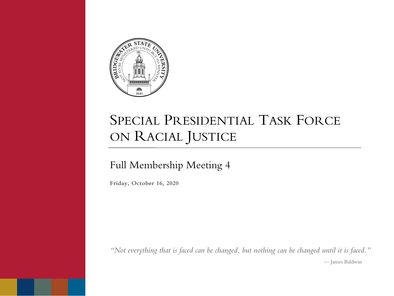

# SPECIAL PRESIDENTIAL TASK FORCE ON RACIAL JUSTICE

#### Full Membership Meeting 4

**Friday, October 16, 2020**

*"Not everything that is faced can be changed, but nothing can be changed until it is faced."* — James Baldwin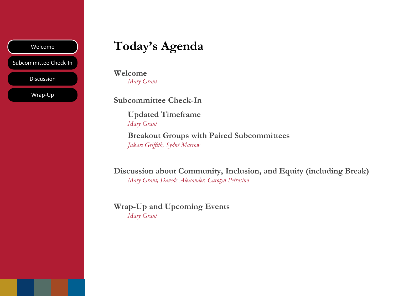Subcommittee Check-In

Discussion

Wrap-Up

## Welcome **Today's Agenda**

**Welcome** *Mary Grant*

**Subcommittee Check-In**

**Updated Timeframe** *Mary Grant*

**Breakout Groups with Paired Subcommittees** *Jakari Griffith, Sydné Marrow*

**Discussion about Community, Inclusion, and Equity (including Break)** *Mary Grant, Davede Alexander, Carolyn Petrosino*

**Wrap-Up and Upcoming Events** *Mary Grant*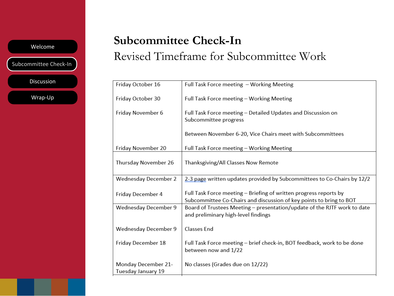Subcommittee Check-In

Discussion

Wrap-Up

## **Subcommittee Check-In**

#### Revised Timeframe for Subcommittee Work

| Friday October 16                         | Full Task Force meeting - Working Meeting                                                                                                |
|-------------------------------------------|------------------------------------------------------------------------------------------------------------------------------------------|
| Friday October 30                         | Full Task Force meeting - Working Meeting                                                                                                |
| Friday November 6                         | Full Task Force meeting – Detailed Updates and Discussion on<br>Subcommittee progress                                                    |
|                                           | Between November 6-20, Vice Chairs meet with Subcommittees                                                                               |
| Friday November 20                        | Full Task Force meeting - Working Meeting                                                                                                |
| Thursday November 26                      | Thanksgiving/All Classes Now Remote                                                                                                      |
| Wednesday December 2                      | 2-3 page written updates provided by Subcommittees to Co-Chairs by 12/2                                                                  |
| Friday December 4                         | Full Task Force meeting - Briefing of written progress reports by<br>Subcommittee Co-Chairs and discussion of key points to bring to BOT |
| Wednesday December 9                      | Board of Trustees Meeting - presentation/update of the RJTF work to date<br>and preliminary high-level findings                          |
| Wednesday December 9                      | <b>Classes End</b>                                                                                                                       |
| Friday December 18                        | Full Task Force meeting – brief check-in, BOT feedback, work to be done<br>between now and 1/22                                          |
| Monday December 21-<br>Tuesday January 19 | No classes (Grades due on 12/22)                                                                                                         |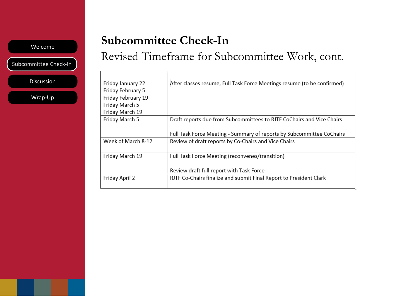Subcommittee Check-In

Discussion

Wrap-Up

#### **Subcommittee Check-In**

#### Revised Timeframe for Subcommittee Work, cont.

| Friday January 22  | After classes resume, Full Task Force Meetings resume (to be confirmed) |
|--------------------|-------------------------------------------------------------------------|
| Friday February 5  |                                                                         |
| Friday February 19 |                                                                         |
| Friday March 5     |                                                                         |
| Friday March 19    |                                                                         |
| Friday March 5     | Draft reports due from Subcommittees to RJTF CoChairs and Vice Chairs   |
|                    |                                                                         |
|                    | Full Task Force Meeting - Summary of reports by Subcommittee CoChairs   |
| Week of March 8-12 | Review of draft reports by Co-Chairs and Vice Chairs                    |
|                    |                                                                         |
| Friday March 19    | Full Task Force Meeting (reconvenes/transition)                         |
|                    |                                                                         |
|                    | Review draft full report with Task Force                                |
| Friday April 2     | RJTF Co-Chairs finalize and submit Final Report to President Clark      |
|                    |                                                                         |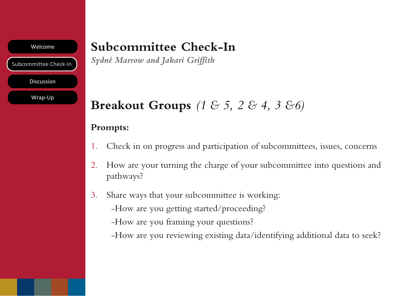Subcommittee Check-In

Discussion

Wrap-Up

## **Subcommittee Check-In**

*Sydné Marrow and Jakari Griffith*

# **Breakout Groups** *(1 & 5, 2 & 4, 3 &6)*

#### **Prompts:**

- 1. Check in on progress and participation of subcommittees, issues, concerns
- 2. How are your turning the charge of your subcommittee into questions and pathways?
- 3. Share ways that your subcommittee is working:
	- -How are you getting started/proceeding?
	- -How are you framing your questions?
	- -How are you reviewing existing data/identifying additional data to seek?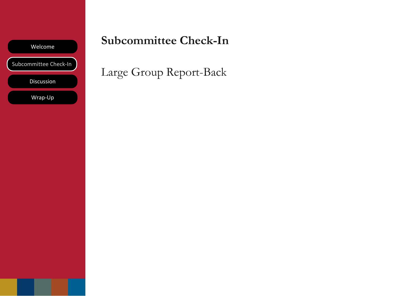

#### **Subcommittee Check-In**

Large Group Report-Back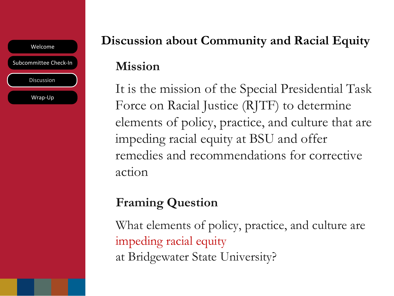Welcome Subcommittee Check-In Discussion Wrap-Up

# **Discussion about Community and Racial Equity Mission**

It is the mission of the Special Presidential Task Force on Racial Justice (RJTF) to determine elements of policy, practice, and culture that are impeding racial equity at BSU and offer remedies and recommendations for corrective action

# **Framing Question**

What elements of policy, practice, and culture are impeding racial equity at Bridgewater State University?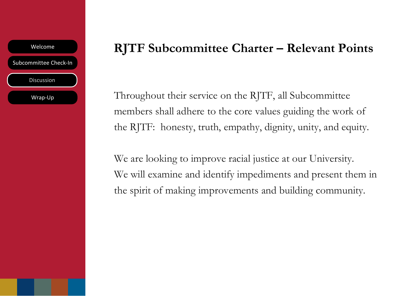

#### **RJTF Subcommittee Charter – Relevant Points**

Throughout their service on the RJTF, all Subcommittee members shall adhere to the core values guiding the work of the RJTF: honesty, truth, empathy, dignity, unity, and equity.

We are looking to improve racial justice at our University. We will examine and identify impediments and present them in the spirit of making improvements and building community.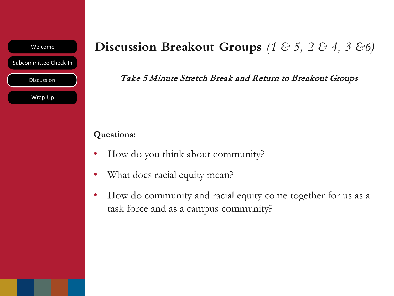

## **Discussion Breakout Groups** *(1 & 5, 2 & 4, 3 &6)*

Take 5 Minute Stretch Break and Return to Breakout Groups

#### **Questions:**

- How do you think about community?
- What does racial equity mean?
- How do community and racial equity come together for us as a task force and as a campus community?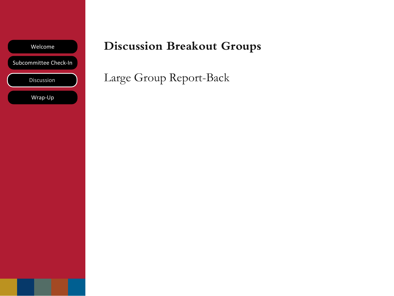

## **Discussion Breakout Groups**

Large Group Report-Back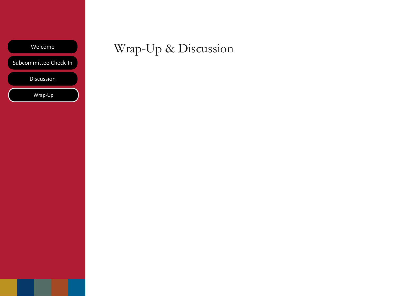Subcommittee Check-In

Discussion

Wrap-Up

# Wrap-Up & Discussion